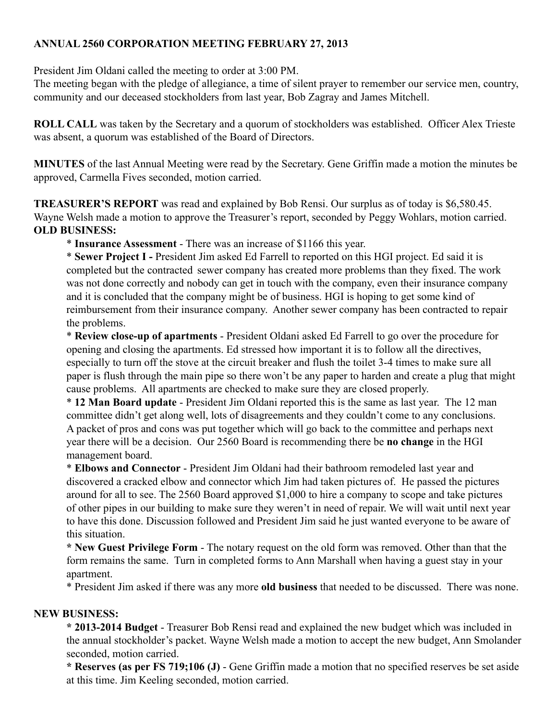## **ANNUAL 2560 CORPORATION MEETING FEBRUARY 27, 2013**

President Jim Oldani called the meeting to order at 3:00 PM.

The meeting began with the pledge of allegiance, a time of silent prayer to remember our service men, country, community and our deceased stockholders from last year, Bob Zagray and James Mitchell.

**ROLL CALL** was taken by the Secretary and a quorum of stockholders was established. Officer Alex Trieste was absent, a quorum was established of the Board of Directors.

**MINUTES** of the last Annual Meeting were read by the Secretary. Gene Griffin made a motion the minutes be approved, Carmella Fives seconded, motion carried.

**TREASURER'S REPORT** was read and explained by Bob Rensi. Our surplus as of today is \$6,580.45. Wayne Welsh made a motion to approve the Treasurer's report, seconded by Peggy Wohlars, motion carried. **OLD BUSINESS:**

\* **Insurance Assessment** - There was an increase of \$1166 this year.

\* **Sewer Project I -** President Jim asked Ed Farrell to reported on this HGI project. Ed said it is completed but the contracted sewer company has created more problems than they fixed. The work was not done correctly and nobody can get in touch with the company, even their insurance company and it is concluded that the company might be of business. HGI is hoping to get some kind of reimbursement from their insurance company. Another sewer company has been contracted to repair the problems.

\* **Review close-up of apartments** - President Oldani asked Ed Farrell to go over the procedure for opening and closing the apartments. Ed stressed how important it is to follow all the directives, especially to turn off the stove at the circuit breaker and flush the toilet 3-4 times to make sure all paper is flush through the main pipe so there won't be any paper to harden and create a plug that might cause problems. All apartments are checked to make sure they are closed properly.

\* **12 Man Board update** - President Jim Oldani reported this is the same as last year. The 12 man committee didn't get along well, lots of disagreements and they couldn't come to any conclusions. A packet of pros and cons was put together which will go back to the committee and perhaps next year there will be a decision. Our 2560 Board is recommending there be **no change** in the HGI management board.

\* **Elbows and Connector** - President Jim Oldani had their bathroom remodeled last year and discovered a cracked elbow and connector which Jim had taken pictures of. He passed the pictures around for all to see. The 2560 Board approved \$1,000 to hire a company to scope and take pictures of other pipes in our building to make sure they weren't in need of repair. We will wait until next year to have this done. Discussion followed and President Jim said he just wanted everyone to be aware of this situation.

**\* New Guest Privilege Form** - The notary request on the old form was removed. Other than that the form remains the same. Turn in completed forms to Ann Marshall when having a guest stay in your apartment.

\* President Jim asked if there was any more **old business** that needed to be discussed. There was none.

## **NEW BUSINESS:**

**\* 2013-2014 Budget** - Treasurer Bob Rensi read and explained the new budget which was included in the annual stockholder's packet. Wayne Welsh made a motion to accept the new budget, Ann Smolander seconded, motion carried.

**\* Reserves (as per FS 719;106 (J)** - Gene Griffin made a motion that no specified reserves be set aside at this time. Jim Keeling seconded, motion carried.